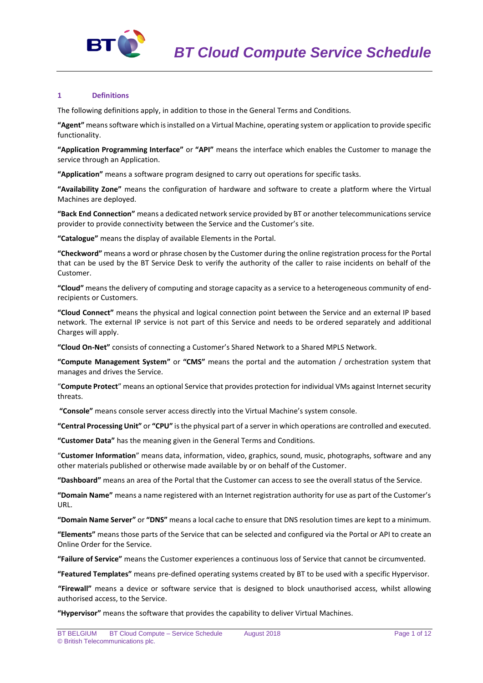

## **1 Definitions**

The following definitions apply, in addition to those in the General Terms and Conditions.

**"Agent"** means software which is installed on a Virtual Machine, operating system or application to provide specific functionality.

**"Application Programming Interface"** or **"API"** means the interface which enables the Customer to manage the service through an Application.

**"Application"** means a software program designed to carry out operations for specific tasks.

**"Availability Zone"** means the configuration of hardware and software to create a platform where the Virtual Machines are deployed.

**"Back End Connection"** means a dedicated network service provided by BT or another telecommunications service provider to provide connectivity between the Service and the Customer's site.

**"Catalogue"** means the display of available Elements in the Portal.

**"Checkword"** means a word or phrase chosen by the Customer during the online registration process for the Portal that can be used by the BT Service Desk to verify the authority of the caller to raise incidents on behalf of the Customer.

**"Cloud"** means the delivery of computing and storage capacity as a service to a heterogeneous community of endrecipients or Customers.

**"Cloud Connect"** means the physical and logical connection point between the Service and an external IP based network. The external IP service is not part of this Service and needs to be ordered separately and additional Charges will apply.

**"Cloud On-Net"** consists of connecting a Customer's Shared Network to a Shared MPLS Network.

**"Compute Management System"** or **"CMS"** means the portal and the automation / orchestration system that manages and drives the Service.

"**Compute Protect**" means an optional Service that provides protection for individual VMs against Internet security threats.

**"Console"** means console server access directly into the Virtual Machine's system console.

**"Central Processing Unit"** or **"CPU"** is the physical part of a server in which operations are controlled and executed.

**"Customer Data"** has the meaning given in the General Terms and Conditions.

"**Customer Information**" means data, information, video, graphics, sound, music, photographs, software and any other materials published or otherwise made available by or on behalf of the Customer.

**"Dashboard"** means an area of the Portal that the Customer can access to see the overall status of the Service.

**"Domain Name"** means a name registered with an Internet registration authority for use as part of the Customer's URL.

**"Domain Name Server"** or **"DNS"** means a local cache to ensure that DNS resolution times are kept to a minimum.

**"Elements"** means those parts of the Service that can be selected and configured via the Portal or API to create an Online Order for the Service.

**"Failure of Service"** means the Customer experiences a continuous loss of Service that cannot be circumvented.

**"Featured Templates"** means pre-defined operating systems created by BT to be used with a specific Hypervisor.

**"Firewall"** means a device or software service that is designed to block unauthorised access, whilst allowing authorised access, to the Service.

**"Hypervisor"** means the software that provides the capability to deliver Virtual Machines.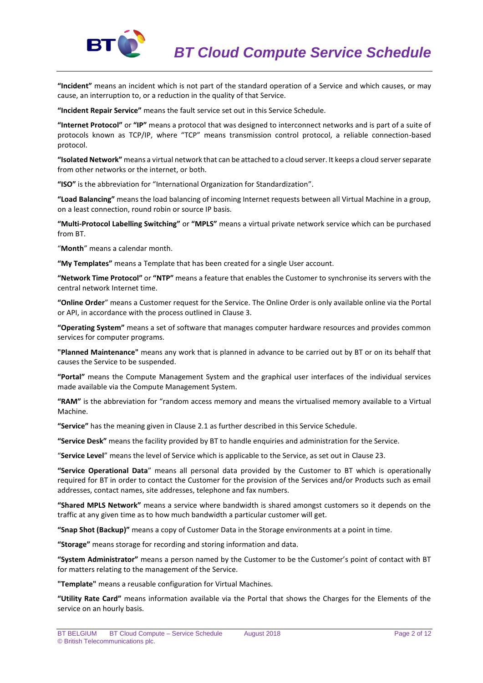

**"Incident"** means an incident which is not part of the standard operation of a Service and which causes, or may cause, an interruption to, or a reduction in the quality of that Service.

**"Incident Repair Service"** means the fault service set out in this Service Schedule.

**"Internet Protocol"** or **"IP"** means a protocol that was designed to interconnect networks and is part of a suite of protocols known as TCP/IP, where "TCP" means transmission control protocol, a reliable connection-based protocol.

**"Isolated Network"** means a virtual network that can be attached to a cloud server. It keeps a cloud server separate from other networks or the internet, or both.

**"ISO"** is the abbreviation for "International Organization for Standardization".

**"Load Balancing"** means the load balancing of incoming Internet requests between all Virtual Machine in a group, on a least connection, round robin or source IP basis.

**"Multi-Protocol Labelling Switching"** or **"MPLS"** means a virtual private network service which can be purchased from BT.

"**Month**" means a calendar month.

**"My Templates"** means a Template that has been created for a single User account.

**"Network Time Protocol"** or **"NTP"** means a feature that enables the Customer to synchronise its servers with the central network Internet time.

**"Online Order**" means a Customer request for the Service. The Online Order is only available online via the Portal or API, in accordance with the process outlined in Clause 3.

**"Operating System"** means a set of software that manages computer hardware resources and provides common services for computer programs.

**"Planned Maintenance"** means any work that is planned in advance to be carried out by BT or on its behalf that causes the Service to be suspended.

**"Portal"** means the Compute Management System and the graphical user interfaces of the individual services made available via the Compute Management System.

**"RAM"** is the abbreviation for "random access memory and means the virtualised memory available to a Virtual Machine.

**"Service"** has the meaning given in Clause 2.1 as further described in this Service Schedule.

**"Service Desk"** means the facility provided by BT to handle enquiries and administration for the Service.

"**Service Level**" means the level of Service which is applicable to the Service, as set out in Clause 23.

**"Service Operational Data**" means all personal data provided by the Customer to BT which is operationally required for BT in order to contact the Customer for the provision of the Services and/or Products such as email addresses, contact names, site addresses, telephone and fax numbers.

**"Shared MPLS Network"** means a service where bandwidth is shared amongst customers so it depends on the traffic at any given time as to how much bandwidth a particular customer will get.

**"Snap Shot (Backup)"** means a copy of Customer Data in the Storage environments at a point in time.

**"Storage"** means storage for recording and storing information and data.

**"System Administrator"** means a person named by the Customer to be the Customer's point of contact with BT for matters relating to the management of the Service.

**"Template"** means a reusable configuration for Virtual Machines.

**"Utility Rate Card"** means information available via the Portal that shows the Charges for the Elements of the service on an hourly basis.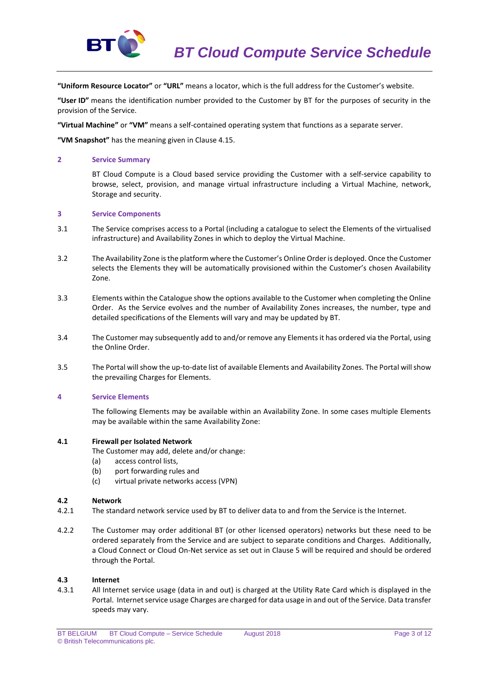

**"Uniform Resource Locator"** or **"URL"** means a locator, which is the full address for the Customer's website.

**"User ID"** means the identification number provided to the Customer by BT for the purposes of security in the provision of the Service.

**"Virtual Machine"** or **"VM"** means a self-contained operating system that functions as a separate server.

**"VM Snapshot"** has the meaning given in Clause 4.15.

### **2 Service Summary**

BT Cloud Compute is a Cloud based service providing the Customer with a self-service capability to browse, select, provision, and manage virtual infrastructure including a Virtual Machine, network, Storage and security.

#### **3 Service Components**

- 3.1 The Service comprises access to a Portal (including a catalogue to select the Elements of the virtualised infrastructure) and Availability Zones in which to deploy the Virtual Machine.
- 3.2 The Availability Zone is the platform where the Customer's Online Order is deployed. Once the Customer selects the Elements they will be automatically provisioned within the Customer's chosen Availability Zone.
- 3.3 Elements within the Catalogue show the options available to the Customer when completing the Online Order. As the Service evolves and the number of Availability Zones increases, the number, type and detailed specifications of the Elements will vary and may be updated by BT.
- 3.4 The Customer may subsequently add to and/or remove any Elements it has ordered via the Portal, using the Online Order.
- 3.5 The Portal will show the up-to-date list of available Elements and Availability Zones. The Portal will show the prevailing Charges for Elements.

# **4 Service Elements**

The following Elements may be available within an Availability Zone. In some cases multiple Elements may be available within the same Availability Zone:

#### **4.1 Firewall per Isolated Network**

- The Customer may add, delete and/or change:
- (a) access control lists,
- (b) port forwarding rules and
- (c) virtual private networks access (VPN)

# **4.2 Network**

- 4.2.1 The standard network service used by BT to deliver data to and from the Service is the Internet.
- 4.2.2 The Customer may order additional BT (or other licensed operators) networks but these need to be ordered separately from the Service and are subject to separate conditions and Charges. Additionally, a Cloud Connect or Cloud On-Net service as set out in Clause 5 will be required and should be ordered through the Portal.

#### **4.3 Internet**

4.3.1 All Internet service usage (data in and out) is charged at the Utility Rate Card which is displayed in the Portal. Internet service usage Charges are charged for data usage in and out of the Service. Data transfer speeds may vary.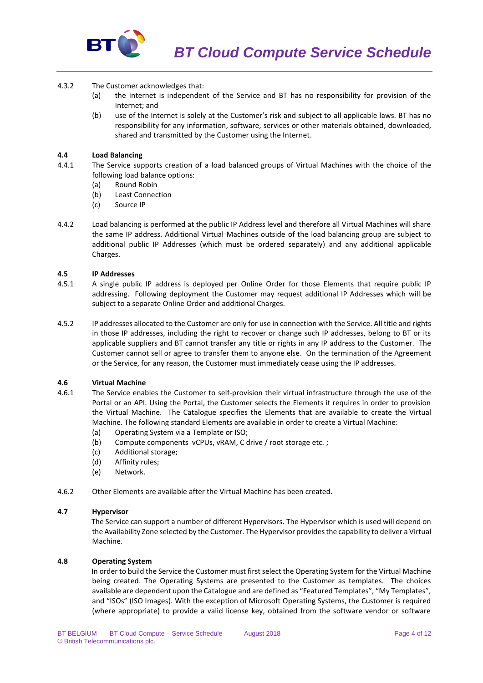

- 4.3.2 The Customer acknowledges that:
	- (a) the Internet is independent of the Service and BT has no responsibility for provision of the Internet; and
	- (b) use of the Internet is solely at the Customer's risk and subject to all applicable laws. BT has no responsibility for any information, software, services or other materials obtained, downloaded, shared and transmitted by the Customer using the Internet.

# **4.4 Load Balancing**

- 4.4.1 The Service supports creation of a load balanced groups of Virtual Machines with the choice of the following load balance options:
	- (a) Round Robin
	- (b) Least Connection
	- (c) Source IP
- 4.4.2 Load balancing is performed at the public IP Address level and therefore all Virtual Machines will share the same IP address. Additional Virtual Machines outside of the load balancing group are subject to additional public IP Addresses (which must be ordered separately) and any additional applicable Charges.

# **4.5 IP Addresses**

- 4.5.1 A single public IP address is deployed per Online Order for those Elements that require public IP addressing. Following deployment the Customer may request additional IP Addresses which will be subject to a separate Online Order and additional Charges.
- 4.5.2 IP addresses allocated to the Customer are only for use in connection with the Service. All title and rights in those IP addresses, including the right to recover or change such IP addresses, belong to BT or its applicable suppliers and BT cannot transfer any title or rights in any IP address to the Customer. The Customer cannot sell or agree to transfer them to anyone else. On the termination of the Agreement or the Service, for any reason, the Customer must immediately cease using the IP addresses.

# **4.6 Virtual Machine**

- 4.6.1 The Service enables the Customer to self-provision their virtual infrastructure through the use of the Portal or an API. Using the Portal, the Customer selects the Elements it requires in order to provision the Virtual Machine. The Catalogue specifies the Elements that are available to create the Virtual Machine. The following standard Elements are available in order to create a Virtual Machine:
	- (a) Operating System via a Template or ISO;
	- (b) Compute components vCPUs, vRAM, C drive / root storage etc. ;
	- (c) Additional storage;
	- (d) Affinity rules;
	- (e) Network.
- 4.6.2 Other Elements are available after the Virtual Machine has been created.

#### **4.7 Hypervisor**

The Service can support a number of different Hypervisors. The Hypervisor which is used will depend on the Availability Zone selected by the Customer. The Hypervisor provides the capability to deliver a Virtual Machine.

### **4.8 Operating System**

In order to build the Service the Customer must first select the Operating System for the Virtual Machine being created. The Operating Systems are presented to the Customer as templates. The choices available are dependent upon the Catalogue and are defined as "Featured Templates", "My Templates", and "ISOs" (ISO Images). With the exception of Microsoft Operating Systems, the Customer is required (where appropriate) to provide a valid license key, obtained from the software vendor or software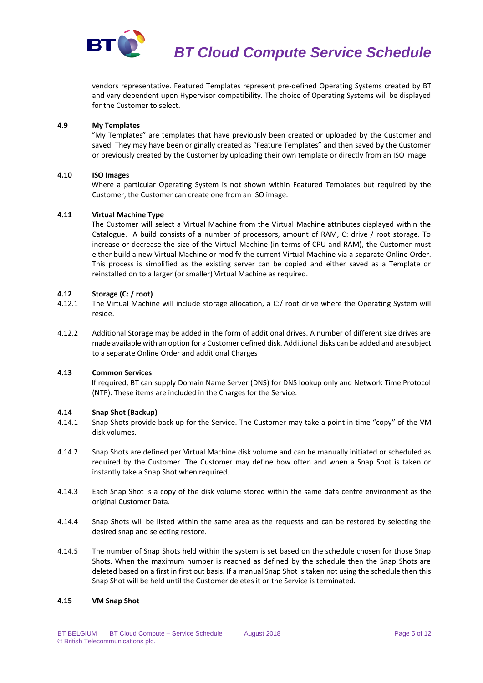

vendors representative. Featured Templates represent pre-defined Operating Systems created by BT and vary dependent upon Hypervisor compatibility. The choice of Operating Systems will be displayed for the Customer to select.

# **4.9 My Templates**

"My Templates" are templates that have previously been created or uploaded by the Customer and saved. They may have been originally created as "Feature Templates" and then saved by the Customer or previously created by the Customer by uploading their own template or directly from an ISO image.

# **4.10 ISO Images**

Where a particular Operating System is not shown within Featured Templates but required by the Customer, the Customer can create one from an ISO image.

# **4.11 Virtual Machine Type**

The Customer will select a Virtual Machine from the Virtual Machine attributes displayed within the Catalogue. A build consists of a number of processors, amount of RAM, C: drive / root storage. To increase or decrease the size of the Virtual Machine (in terms of CPU and RAM), the Customer must either build a new Virtual Machine or modify the current Virtual Machine via a separate Online Order. This process is simplified as the existing server can be copied and either saved as a Template or reinstalled on to a larger (or smaller) Virtual Machine as required.

# **4.12 Storage (C: / root)**

- 4.12.1 The Virtual Machine will include storage allocation, a C:/ root drive where the Operating System will reside.
- 4.12.2 Additional Storage may be added in the form of additional drives. A number of different size drives are made available with an option for a Customer defined disk. Additional disks can be added and are subject to a separate Online Order and additional Charges

# **4.13 Common Services**

If required, BT can supply Domain Name Server (DNS) for DNS lookup only and Network Time Protocol (NTP). These items are included in the Charges for the Service.

# **4.14 Snap Shot (Backup)**

- 4.14.1 Snap Shots provide back up for the Service. The Customer may take a point in time "copy" of the VM disk volumes.
- 4.14.2 Snap Shots are defined per Virtual Machine disk volume and can be manually initiated or scheduled as required by the Customer. The Customer may define how often and when a Snap Shot is taken or instantly take a Snap Shot when required.
- 4.14.3 Each Snap Shot is a copy of the disk volume stored within the same data centre environment as the original Customer Data.
- 4.14.4 Snap Shots will be listed within the same area as the requests and can be restored by selecting the desired snap and selecting restore.
- 4.14.5 The number of Snap Shots held within the system is set based on the schedule chosen for those Snap Shots. When the maximum number is reached as defined by the schedule then the Snap Shots are deleted based on a first in first out basis. If a manual Snap Shot is taken not using the schedule then this Snap Shot will be held until the Customer deletes it or the Service is terminated.

# **4.15 VM Snap Shot**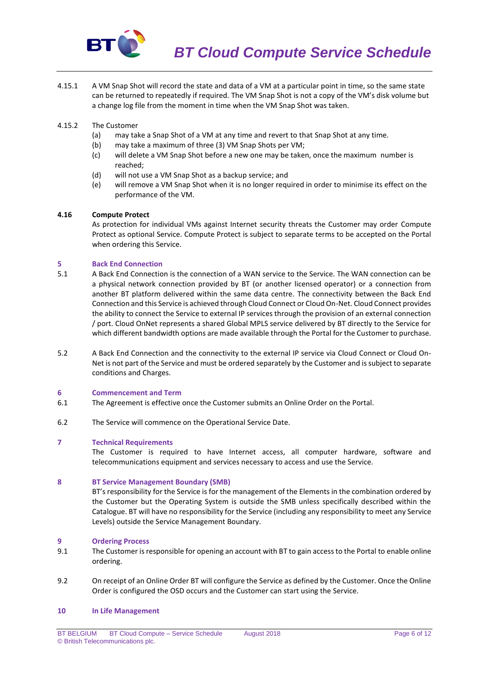

4.15.1 A VM Snap Shot will record the state and data of a VM at a particular point in time, so the same state can be returned to repeatedly if required. The VM Snap Shot is not a copy of the VM's disk volume but a change log file from the moment in time when the VM Snap Shot was taken.

## 4.15.2 The Customer

- (a) may take a Snap Shot of a VM at any time and revert to that Snap Shot at any time.
- (b) may take a maximum of three (3) VM Snap Shots per VM;
- (c) will delete a VM Snap Shot before a new one may be taken, once the maximum number is reached;
- (d) will not use a VM Snap Shot as a backup service; and
- (e) will remove a VM Snap Shot when it is no longer required in order to minimise its effect on the performance of the VM.

## **4.16 Compute Protect**

As protection for individual VMs against Internet security threats the Customer may order Compute Protect as optional Service. Compute Protect is subject to separate terms to be accepted on the Portal when ordering this Service.

# **5 Back End Connection**

- 5.1 A Back End Connection is the connection of a WAN service to the Service. The WAN connection can be a physical network connection provided by BT (or another licensed operator) or a connection from another BT platform delivered within the same data centre. The connectivity between the Back End Connection and this Service is achieved through Cloud Connect or Cloud On-Net. Cloud Connect provides the ability to connect the Service to external IP services through the provision of an external connection / port. Cloud OnNet represents a shared Global MPLS service delivered by BT directly to the Service for which different bandwidth options are made available through the Portal for the Customer to purchase.
- 5.2 A Back End Connection and the connectivity to the external IP service via Cloud Connect or Cloud On-Net is not part of the Service and must be ordered separately by the Customer and is subject to separate conditions and Charges.

#### **6 Commencement and Term**

- 6.1 The Agreement is effective once the Customer submits an Online Order on the Portal.
- 6.2 The Service will commence on the Operational Service Date.

## **7 Technical Requirements**

The Customer is required to have Internet access, all computer hardware, software and telecommunications equipment and services necessary to access and use the Service.

#### **8 BT Service Management Boundary (SMB)**

BT's responsibility for the Service is for the management of the Elements in the combination ordered by the Customer but the Operating System is outside the SMB unless specifically described within the Catalogue. BT will have no responsibility for the Service (including any responsibility to meet any Service Levels) outside the Service Management Boundary.

#### **9 Ordering Process**

- 9.1 The Customer is responsible for opening an account with BT to gain access to the Portal to enable online ordering.
- 9.2 On receipt of an Online Order BT will configure the Service as defined by the Customer. Once the Online Order is configured the OSD occurs and the Customer can start using the Service.

#### **10 In Life Management**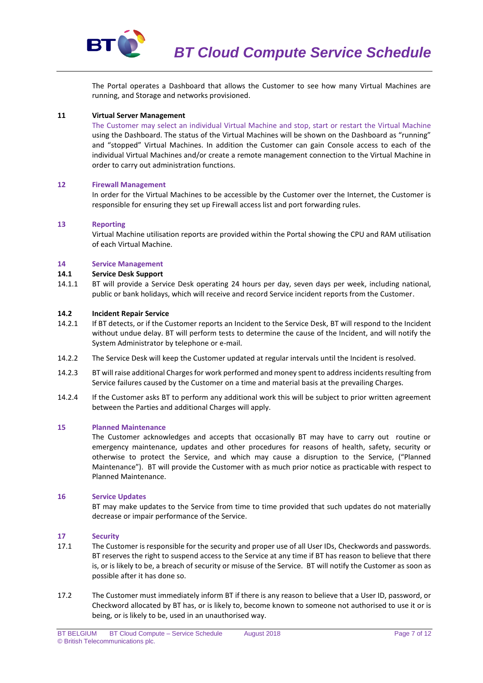

The Portal operates a Dashboard that allows the Customer to see how many Virtual Machines are running, and Storage and networks provisioned.

### **11 Virtual Server Management**

The Customer may select an individual Virtual Machine and stop, start or restart the Virtual Machine using the Dashboard. The status of the Virtual Machines will be shown on the Dashboard as "running" and "stopped" Virtual Machines. In addition the Customer can gain Console access to each of the individual Virtual Machines and/or create a remote management connection to the Virtual Machine in order to carry out administration functions.

## **12 Firewall Management**

In order for the Virtual Machines to be accessible by the Customer over the Internet, the Customer is responsible for ensuring they set up Firewall access list and port forwarding rules.

## **13 Reporting**

Virtual Machine utilisation reports are provided within the Portal showing the CPU and RAM utilisation of each Virtual Machine.

## **14 Service Management**

## **14.1 Service Desk Support**

14.1.1 BT will provide a Service Desk operating 24 hours per day, seven days per week, including national, public or bank holidays, which will receive and record Service incident reports from the Customer.

#### **14.2 Incident Repair Service**

- 14.2.1 If BT detects, or if the Customer reports an Incident to the Service Desk, BT will respond to the Incident without undue delay. BT will perform tests to determine the cause of the Incident, and will notify the System Administrator by telephone or e-mail.
- 14.2.2 The Service Desk will keep the Customer updated at regular intervals until the Incident is resolved.
- 14.2.3 BT will raise additional Charges for work performed and money spent to addressincidents resulting from Service failures caused by the Customer on a time and material basis at the prevailing Charges.
- 14.2.4 If the Customer asks BT to perform any additional work this will be subject to prior written agreement between the Parties and additional Charges will apply.

#### **15 Planned Maintenance**

The Customer acknowledges and accepts that occasionally BT may have to carry out routine or emergency maintenance, updates and other procedures for reasons of health, safety, security or otherwise to protect the Service, and which may cause a disruption to the Service, ("Planned Maintenance"). BT will provide the Customer with as much prior notice as practicable with respect to Planned Maintenance.

#### **16 Service Updates**

BT may make updates to the Service from time to time provided that such updates do not materially decrease or impair performance of the Service.

### **17 Security**

- 17.1 The Customer is responsible for the security and proper use of all User IDs, Checkwords and passwords. BT reserves the right to suspend access to the Service at any time if BT has reason to believe that there is, or is likely to be, a breach of security or misuse of the Service. BT will notify the Customer as soon as possible after it has done so.
- 17.2 The Customer must immediately inform BT if there is any reason to believe that a User ID, password, or Checkword allocated by BT has, or is likely to, become known to someone not authorised to use it or is being, or is likely to be, used in an unauthorised way.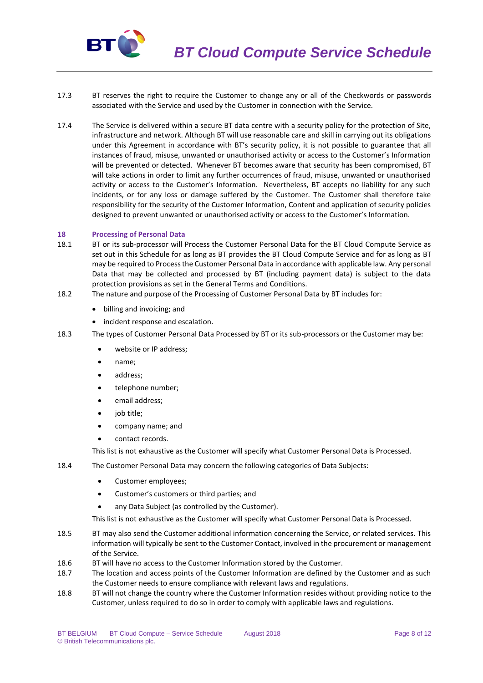

- 17.3 BT reserves the right to require the Customer to change any or all of the Checkwords or passwords associated with the Service and used by the Customer in connection with the Service.
- 17.4 The Service is delivered within a secure BT data centre with a security policy for the protection of Site, infrastructure and network. Although BT will use reasonable care and skill in carrying out its obligations under this Agreement in accordance with BT's security policy, it is not possible to guarantee that all instances of fraud, misuse, unwanted or unauthorised activity or access to the Customer's Information will be prevented or detected. Whenever BT becomes aware that security has been compromised, BT will take actions in order to limit any further occurrences of fraud, misuse, unwanted or unauthorised activity or access to the Customer's Information. Nevertheless, BT accepts no liability for any such incidents, or for any loss or damage suffered by the Customer. The Customer shall therefore take responsibility for the security of the Customer Information, Content and application of security policies designed to prevent unwanted or unauthorised activity or access to the Customer's Information.

#### **18 Processing of Personal Data**

- 18.1 BT or its sub-processor will Process the Customer Personal Data for the BT Cloud Compute Service as set out in this Schedule for as long as BT provides the BT Cloud Compute Service and for as long as BT may be required to Process the Customer Personal Data in accordance with applicable law. Any personal Data that may be collected and processed by BT (including payment data) is subject to the data protection provisions as set in the General Terms and Conditions.
- 18.2 The nature and purpose of the Processing of Customer Personal Data by BT includes for:
	- billing and invoicing; and
	- incident response and escalation.
- 18.3 The types of Customer Personal Data Processed by BT or its sub-processors or the Customer may be:
	- website or IP address;
	- name;
	- address;
	- telephone number;
	- email address;
	- job title;
	- company name; and
	- contact records.

This list is not exhaustive as the Customer will specify what Customer Personal Data is Processed.

- 18.4 The Customer Personal Data may concern the following categories of Data Subjects:
	- Customer employees:
	- Customer's customers or third parties; and
	- any Data Subject (as controlled by the Customer).

This list is not exhaustive as the Customer will specify what Customer Personal Data is Processed.

- 18.5 BT may also send the Customer additional information concerning the Service, or related services. This information will typically be sent to the Customer Contact, involved in the procurement or management of the Service.
- 18.6 BT will have no access to the Customer Information stored by the Customer.
- 18.7 The location and access points of the Customer Information are defined by the Customer and as such the Customer needs to ensure compliance with relevant laws and regulations.
- 18.8 BT will not change the country where the Customer Information resides without providing notice to the Customer, unless required to do so in order to comply with applicable laws and regulations.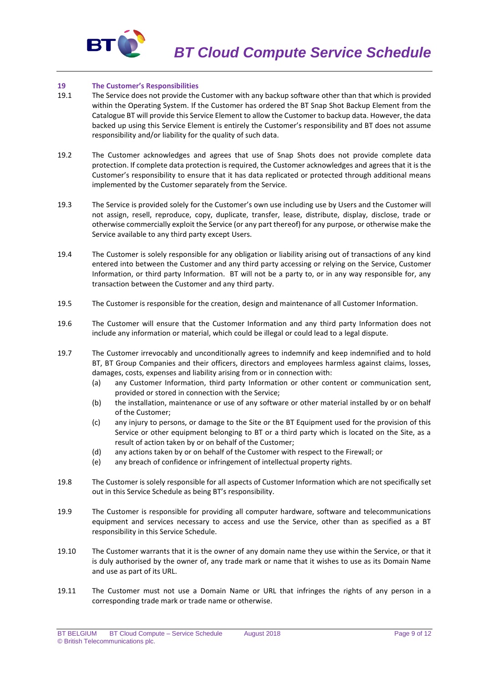

## **19 The Customer's Responsibilities**

- 19.1 The Service does not provide the Customer with any backup software other than that which is provided within the Operating System. If the Customer has ordered the BT Snap Shot Backup Element from the Catalogue BT will provide this Service Element to allow the Customer to backup data. However, the data backed up using this Service Element is entirely the Customer's responsibility and BT does not assume responsibility and/or liability for the quality of such data.
- 19.2 The Customer acknowledges and agrees that use of Snap Shots does not provide complete data protection. If complete data protection is required, the Customer acknowledges and agrees that it is the Customer's responsibility to ensure that it has data replicated or protected through additional means implemented by the Customer separately from the Service.
- 19.3 The Service is provided solely for the Customer's own use including use by Users and the Customer will not assign, resell, reproduce, copy, duplicate, transfer, lease, distribute, display, disclose, trade or otherwise commercially exploit the Service (or any part thereof) for any purpose, or otherwise make the Service available to any third party except Users.
- 19.4 The Customer is solely responsible for any obligation or liability arising out of transactions of any kind entered into between the Customer and any third party accessing or relying on the Service, Customer Information, or third party Information. BT will not be a party to, or in any way responsible for, any transaction between the Customer and any third party.
- 19.5 The Customer is responsible for the creation, design and maintenance of all Customer Information.
- 19.6 The Customer will ensure that the Customer Information and any third party Information does not include any information or material, which could be illegal or could lead to a legal dispute.
- 19.7 The Customer irrevocably and unconditionally agrees to indemnify and keep indemnified and to hold BT, BT Group Companies and their officers, directors and employees harmless against claims, losses, damages, costs, expenses and liability arising from or in connection with:
	- (a) any Customer Information, third party Information or other content or communication sent, provided or stored in connection with the Service;
	- (b) the installation, maintenance or use of any software or other material installed by or on behalf of the Customer;
	- (c) any injury to persons, or damage to the Site or the BT Equipment used for the provision of this Service or other equipment belonging to BT or a third party which is located on the Site, as a result of action taken by or on behalf of the Customer;
	- (d) any actions taken by or on behalf of the Customer with respect to the Firewall; or
	- (e) any breach of confidence or infringement of intellectual property rights.
- 19.8 The Customer is solely responsible for all aspects of Customer Information which are not specifically set out in this Service Schedule as being BT's responsibility.
- 19.9 The Customer is responsible for providing all computer hardware, software and telecommunications equipment and services necessary to access and use the Service, other than as specified as a BT responsibility in this Service Schedule.
- 19.10 The Customer warrants that it is the owner of any domain name they use within the Service, or that it is duly authorised by the owner of, any trade mark or name that it wishes to use as its Domain Name and use as part of its URL.
- 19.11 The Customer must not use a Domain Name or URL that infringes the rights of any person in a corresponding trade mark or trade name or otherwise.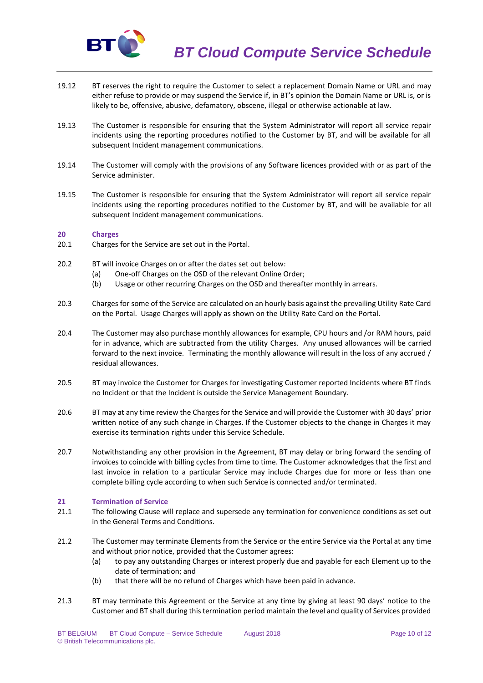

- 19.12 BT reserves the right to require the Customer to select a replacement Domain Name or URL and may either refuse to provide or may suspend the Service if, in BT's opinion the Domain Name or URL is, or is likely to be, offensive, abusive, defamatory, obscene, illegal or otherwise actionable at law.
- 19.13 The Customer is responsible for ensuring that the System Administrator will report all service repair incidents using the reporting procedures notified to the Customer by BT, and will be available for all subsequent Incident management communications.
- 19.14 The Customer will comply with the provisions of any Software licences provided with or as part of the Service administer.
- 19.15 The Customer is responsible for ensuring that the System Administrator will report all service repair incidents using the reporting procedures notified to the Customer by BT, and will be available for all subsequent Incident management communications.

## **20 Charges**

- 20.1 Charges for the Service are set out in the Portal.
- 20.2 BT will invoice Charges on or after the dates set out below:
	- (a) One-off Charges on the OSD of the relevant Online Order;
	- (b) Usage or other recurring Charges on the OSD and thereafter monthly in arrears.
- 20.3 Charges for some of the Service are calculated on an hourly basis against the prevailing Utility Rate Card on the Portal. Usage Charges will apply as shown on the Utility Rate Card on the Portal.
- 20.4 The Customer may also purchase monthly allowances for example, CPU hours and /or RAM hours, paid for in advance, which are subtracted from the utility Charges. Any unused allowances will be carried forward to the next invoice. Terminating the monthly allowance will result in the loss of any accrued / residual allowances.
- 20.5 BT may invoice the Customer for Charges for investigating Customer reported Incidents where BT finds no Incident or that the Incident is outside the Service Management Boundary.
- 20.6 BT may at any time review the Charges for the Service and will provide the Customer with 30 days' prior written notice of any such change in Charges. If the Customer objects to the change in Charges it may exercise its termination rights under this Service Schedule.
- 20.7 Notwithstanding any other provision in the Agreement, BT may delay or bring forward the sending of invoices to coincide with billing cycles from time to time. The Customer acknowledges that the first and last invoice in relation to a particular Service may include Charges due for more or less than one complete billing cycle according to when such Service is connected and/or terminated.

# **21 Termination of Service**

- 21.1 The following Clause will replace and supersede any termination for convenience conditions as set out in the General Terms and Conditions.
- 21.2 The Customer may terminate Elements from the Service or the entire Service via the Portal at any time and without prior notice, provided that the Customer agrees:
	- (a) to pay any outstanding Charges or interest properly due and payable for each Element up to the date of termination; and
	- (b) that there will be no refund of Charges which have been paid in advance.
- 21.3 BT may terminate this Agreement or the Service at any time by giving at least 90 days' notice to the Customer and BT shall during this termination period maintain the level and quality of Services provided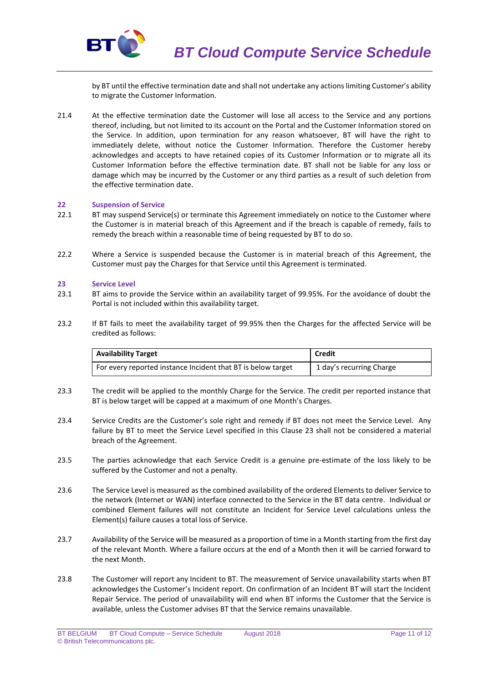

by BT until the effective termination date and shall not undertake any actions limiting Customer's ability to migrate the Customer Information.

21.4 At the effective termination date the Customer will lose all access to the Service and any portions thereof, including, but not limited to its account on the Portal and the Customer Information stored on the Service. In addition, upon termination for any reason whatsoever, BT will have the right to immediately delete, without notice the Customer Information. Therefore the Customer hereby acknowledges and accepts to have retained copies of its Customer Information or to migrate all its Customer Information before the effective termination date. BT shall not be liable for any loss or damage which may be incurred by the Customer or any third parties as a result of such deletion from the effective termination date.

#### **22 Suspension of Service**

- 22.1 BT may suspend Service(s) or terminate this Agreement immediately on notice to the Customer where the Customer is in material breach of this Agreement and if the breach is capable of remedy, fails to remedy the breach within a reasonable time of being requested by BT to do so.
- 22.2 Where a Service is suspended because the Customer is in material breach of this Agreement, the Customer must pay the Charges for that Service until this Agreement is terminated.

#### **23 Service Level**

- 23.1 BT aims to provide the Service within an availability target of 99.95%. For the avoidance of doubt the Portal is not included within this availability target.
- 23.2 If BT fails to meet the availability target of 99.95% then the Charges for the affected Service will be credited as follows:

| <b>Availability Target</b>                                   | <b>Credit</b>            |
|--------------------------------------------------------------|--------------------------|
| For every reported instance Incident that BT is below target | 1 day's recurring Charge |

- 23.3 The credit will be applied to the monthly Charge for the Service. The credit per reported instance that BT is below target will be capped at a maximum of one Month's Charges.
- 23.4 Service Credits are the Customer's sole right and remedy if BT does not meet the Service Level. Any failure by BT to meet the Service Level specified in this Clause 23 shall not be considered a material breach of the Agreement.
- 23.5 The parties acknowledge that each Service Credit is a genuine pre-estimate of the loss likely to be suffered by the Customer and not a penalty.
- 23.6 The Service Level is measured as the combined availability of the ordered Elements to deliver Service to the network (Internet or WAN) interface connected to the Service in the BT data centre. Individual or combined Element failures will not constitute an Incident for Service Level calculations unless the Element(s) failure causes a total loss of Service.
- 23.7 Availability of the Service will be measured as a proportion of time in a Month starting from the first day of the relevant Month. Where a failure occurs at the end of a Month then it will be carried forward to the next Month.
- 23.8 The Customer will report any Incident to BT. The measurement of Service unavailability starts when BT acknowledges the Customer's Incident report. On confirmation of an Incident BT will start the Incident Repair Service. The period of unavailability will end when BT informs the Customer that the Service is available, unless the Customer advises BT that the Service remains unavailable.